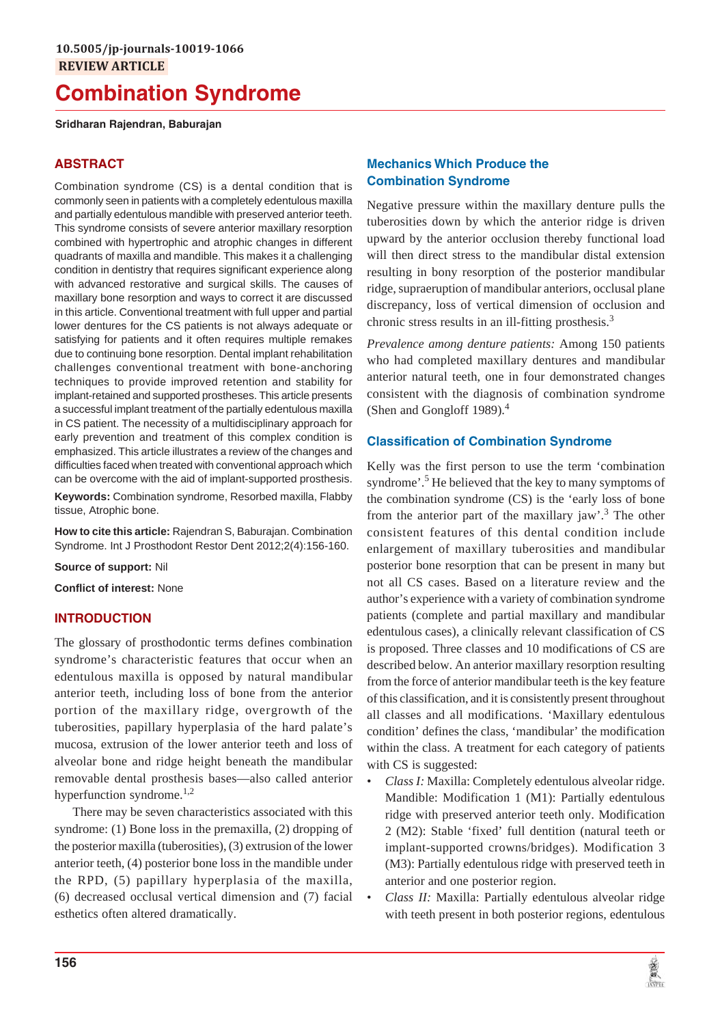# **Combination Syndrome**

## **Sridharan Rajendran, Baburajan**

# **ABSTRACT**

Combination syndrome (CS) is a dental condition that is commonly seen in patients with a completely edentulous maxilla and partially edentulous mandible with preserved anterior teeth. This syndrome consists of severe anterior maxillary resorption combined with hypertrophic and atrophic changes in different quadrants of maxilla and mandible. This makes it a challenging condition in dentistry that requires significant experience along with advanced restorative and surgical skills. The causes of maxillary bone resorption and ways to correct it are discussed in this article. Conventional treatment with full upper and partial lower dentures for the CS patients is not always adequate or satisfying for patients and it often requires multiple remakes due to continuing bone resorption. Dental implant rehabilitation challenges conventional treatment with bone-anchoring techniques to provide improved retention and stability for implant-retained and supported prostheses. This article presents a successful implant treatment of the partially edentulous maxilla in CS patient. The necessity of a multidisciplinary approach for early prevention and treatment of this complex condition is emphasized. This article illustrates a review of the changes and difficulties faced when treated with conventional approach which can be overcome with the aid of implant-supported prosthesis.

**Keywords:** Combination syndrome, Resorbed maxilla, Flabby tissue, Atrophic bone.

**How to cite this article:** Rajendran S, Baburajan. Combination Syndrome. Int J Prosthodont Restor Dent 2012;2(4):156-160.

**Source of support:** Nil

**Conflict of interest:** None

## **INTRODUCTION**

The glossary of prosthodontic terms defines combination syndrome's characteristic features that occur when an edentulous maxilla is opposed by natural mandibular anterior teeth, including loss of bone from the anterior portion of the maxillary ridge, overgrowth of the tuberosities, papillary hyperplasia of the hard palate's mucosa, extrusion of the lower anterior teeth and loss of alveolar bone and ridge height beneath the mandibular removable dental prosthesis bases—also called anterior hyperfunction syndrome. $^{1,2}$ 

There may be seven characteristics associated with this syndrome: (1) Bone loss in the premaxilla, (2) dropping of the posterior maxilla (tuberosities), (3) extrusion of the lower anterior teeth, (4) posterior bone loss in the mandible under the RPD, (5) papillary hyperplasia of the maxilla, (6) decreased occlusal vertical dimension and (7) facial esthetics often altered dramatically.

# **Mechanics Which Produce the Combination Syndrome**

Negative pressure within the maxillary denture pulls the tuberosities down by which the anterior ridge is driven upward by the anterior occlusion thereby functional load will then direct stress to the mandibular distal extension resulting in bony resorption of the posterior mandibular ridge, supraeruption of mandibular anteriors, occlusal plane discrepancy, loss of vertical dimension of occlusion and chronic stress results in an ill-fitting prosthesis.<sup>3</sup>

*Prevalence among denture patients:* Among 150 patients who had completed maxillary dentures and mandibular anterior natural teeth, one in four demonstrated changes consistent with the diagnosis of combination syndrome (Shen and Gongloff 1989). $<sup>4</sup>$ </sup>

## **Classification of Combination Syndrome**

Kelly was the first person to use the term 'combination syndrome'.<sup>5</sup> He believed that the key to many symptoms of the combination syndrome (CS) is the 'early loss of bone from the anterior part of the maxillary jaw'.<sup>3</sup> The other consistent features of this dental condition include enlargement of maxillary tuberosities and mandibular posterior bone resorption that can be present in many but not all CS cases. Based on a literature review and the author's experience with a variety of combination syndrome patients (complete and partial maxillary and mandibular edentulous cases), a clinically relevant classification of CS is proposed. Three classes and 10 modifications of CS are described below. An anterior maxillary resorption resulting from the force of anterior mandibular teeth is the key feature of this classification, and it is consistently present throughout all classes and all modifications. 'Maxillary edentulous condition' defines the class, 'mandibular' the modification within the class. A treatment for each category of patients with CS is suggested:

- *Class I:* Maxilla: Completely edentulous alveolar ridge. Mandible: Modification 1 (M1): Partially edentulous ridge with preserved anterior teeth only. Modification 2 (M2): Stable 'fixed' full dentition (natural teeth or implant-supported crowns/bridges). Modification 3 (M3): Partially edentulous ridge with preserved teeth in anterior and one posterior region.
- *Class II:* Maxilla: Partially edentulous alveolar ridge with teeth present in both posterior regions, edentulous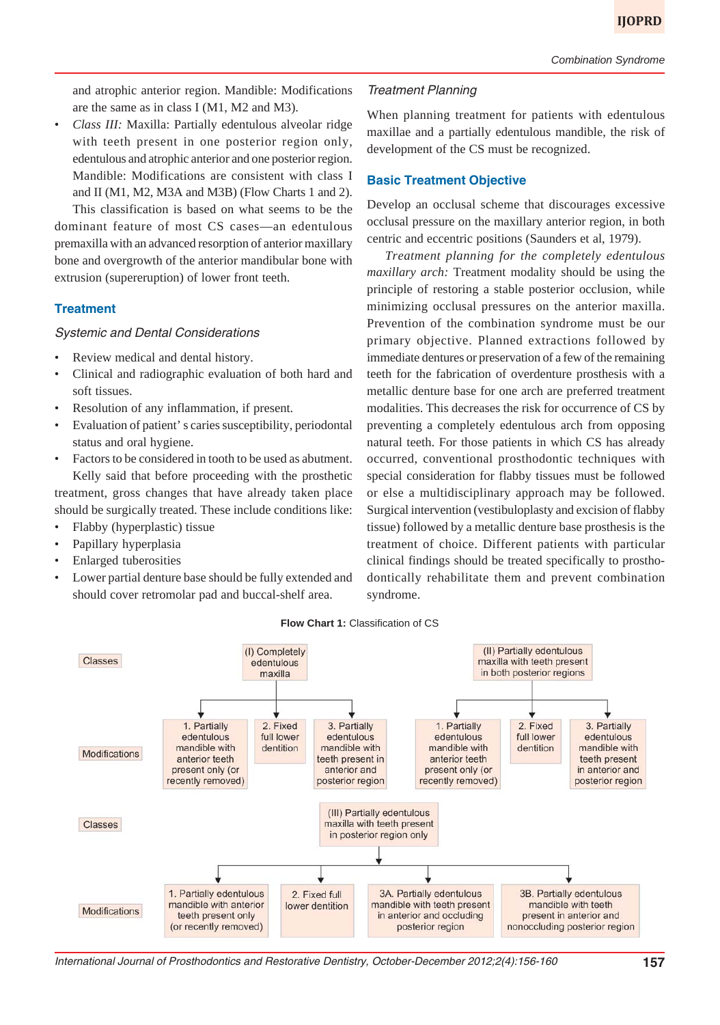and atrophic anterior region. Mandible: Modifications are the same as in class I (M1, M2 and M3).

• *Class III:* Maxilla: Partially edentulous alveolar ridge with teeth present in one posterior region only, edentulous and atrophic anterior and one posterior region. Mandible: Modifications are consistent with class I and II (M1, M2, M3A and M3B) (Flow Charts 1 and 2). This classification is based on what seems to be the dominant feature of most CS cases—an edentulous premaxilla with an advanced resorption of anterior maxillary bone and overgrowth of the anterior mandibular bone with

# **Treatment**

## Systemic and Dental Considerations

extrusion (supereruption) of lower front teeth.

- Review medical and dental history.
- Clinical and radiographic evaluation of both hard and soft tissues.
- Resolution of any inflammation, if present.
- Evaluation of patient' s caries susceptibility, periodontal status and oral hygiene.
- Factors to be considered in tooth to be used as abutment. Kelly said that before proceeding with the prosthetic treatment, gross changes that have already taken place should be surgically treated. These include conditions like:
- Flabby (hyperplastic) tissue
- Papillary hyperplasia
- Enlarged tuberosities
- Lower partial denture base should be fully extended and should cover retromolar pad and buccal-shelf area.

## Treatment Planning

When planning treatment for patients with edentulous maxillae and a partially edentulous mandible, the risk of development of the CS must be recognized.

## **Basic Treatment Objective**

Develop an occlusal scheme that discourages excessive occlusal pressure on the maxillary anterior region, in both centric and eccentric positions (Saunders et al, 1979).

*Treatment planning for the completely edentulous maxillary arch:* Treatment modality should be using the principle of restoring a stable posterior occlusion, while minimizing occlusal pressures on the anterior maxilla. Prevention of the combination syndrome must be our primary objective. Planned extractions followed by immediate dentures or preservation of a few of the remaining teeth for the fabrication of overdenture prosthesis with a metallic denture base for one arch are preferred treatment modalities. This decreases the risk for occurrence of CS by preventing a completely edentulous arch from opposing natural teeth. For those patients in which CS has already occurred, conventional prosthodontic techniques with special consideration for flabby tissues must be followed or else a multidisciplinary approach may be followed. Surgical intervention (vestibuloplasty and excision of flabby tissue) followed by a metallic denture base prosthesis is the treatment of choice. Different patients with particular clinical findings should be treated specifically to prosthodontically rehabilitate them and prevent combination syndrome.

#### **Flow Chart 1:** Classification of CS



International Journal of Prosthodontics and Restorative Dentistry, October-December 2012;2(4):156-160 **157**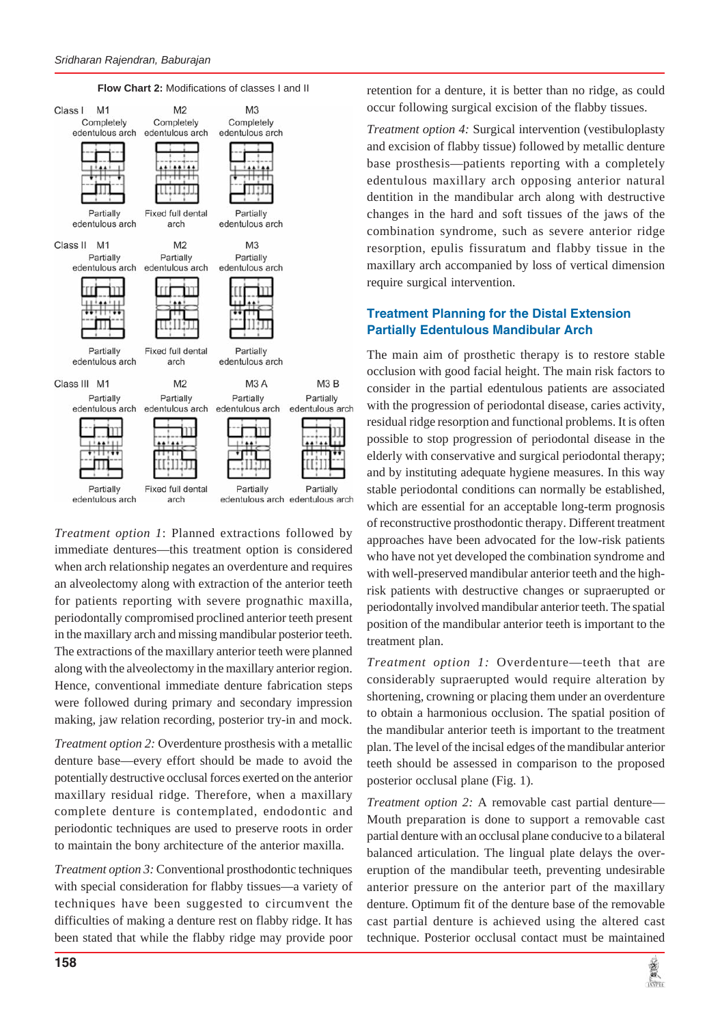



*Treatment option 1*: Planned extractions followed by immediate dentures—this treatment option is considered when arch relationship negates an overdenture and requires an alveolectomy along with extraction of the anterior teeth for patients reporting with severe prognathic maxilla, periodontally compromised proclined anterior teeth present in the maxillary arch and missing mandibular posterior teeth. The extractions of the maxillary anterior teeth were planned along with the alveolectomy in the maxillary anterior region. Hence, conventional immediate denture fabrication steps were followed during primary and secondary impression making, jaw relation recording, posterior try-in and mock.

*Treatment option 2:* Overdenture prosthesis with a metallic denture base—every effort should be made to avoid the potentially destructive occlusal forces exerted on the anterior maxillary residual ridge. Therefore, when a maxillary complete denture is contemplated, endodontic and periodontic techniques are used to preserve roots in order to maintain the bony architecture of the anterior maxilla.

*Treatment option 3:* Conventional prosthodontic techniques with special consideration for flabby tissues—a variety of techniques have been suggested to circumvent the difficulties of making a denture rest on flabby ridge. It has been stated that while the flabby ridge may provide poor retention for a denture, it is better than no ridge, as could occur following surgical excision of the flabby tissues.

*Treatment option 4:* Surgical intervention (vestibuloplasty and excision of flabby tissue) followed by metallic denture base prosthesis—patients reporting with a completely edentulous maxillary arch opposing anterior natural dentition in the mandibular arch along with destructive changes in the hard and soft tissues of the jaws of the combination syndrome, such as severe anterior ridge resorption, epulis fissuratum and flabby tissue in the maxillary arch accompanied by loss of vertical dimension require surgical intervention.

# **Treatment Planning for the Distal Extension Partially Edentulous Mandibular Arch**

The main aim of prosthetic therapy is to restore stable occlusion with good facial height. The main risk factors to consider in the partial edentulous patients are associated with the progression of periodontal disease, caries activity, residual ridge resorption and functional problems. It is often possible to stop progression of periodontal disease in the elderly with conservative and surgical periodontal therapy; and by instituting adequate hygiene measures. In this way stable periodontal conditions can normally be established, which are essential for an acceptable long-term prognosis of reconstructive prosthodontic therapy. Different treatment approaches have been advocated for the low-risk patients who have not yet developed the combination syndrome and with well-preserved mandibular anterior teeth and the highrisk patients with destructive changes or supraerupted or periodontally involved mandibular anterior teeth. The spatial position of the mandibular anterior teeth is important to the treatment plan.

*Treatment option 1:* Overdenture—teeth that are considerably supraerupted would require alteration by shortening, crowning or placing them under an overdenture to obtain a harmonious occlusion. The spatial position of the mandibular anterior teeth is important to the treatment plan. The level of the incisal edges of the mandibular anterior teeth should be assessed in comparison to the proposed posterior occlusal plane (Fig. 1).

*Treatment option 2:* A removable cast partial denture— Mouth preparation is done to support a removable cast partial denture with an occlusal plane conducive to a bilateral balanced articulation. The lingual plate delays the overeruption of the mandibular teeth, preventing undesirable anterior pressure on the anterior part of the maxillary denture. Optimum fit of the denture base of the removable cast partial denture is achieved using the altered cast technique. Posterior occlusal contact must be maintained

海军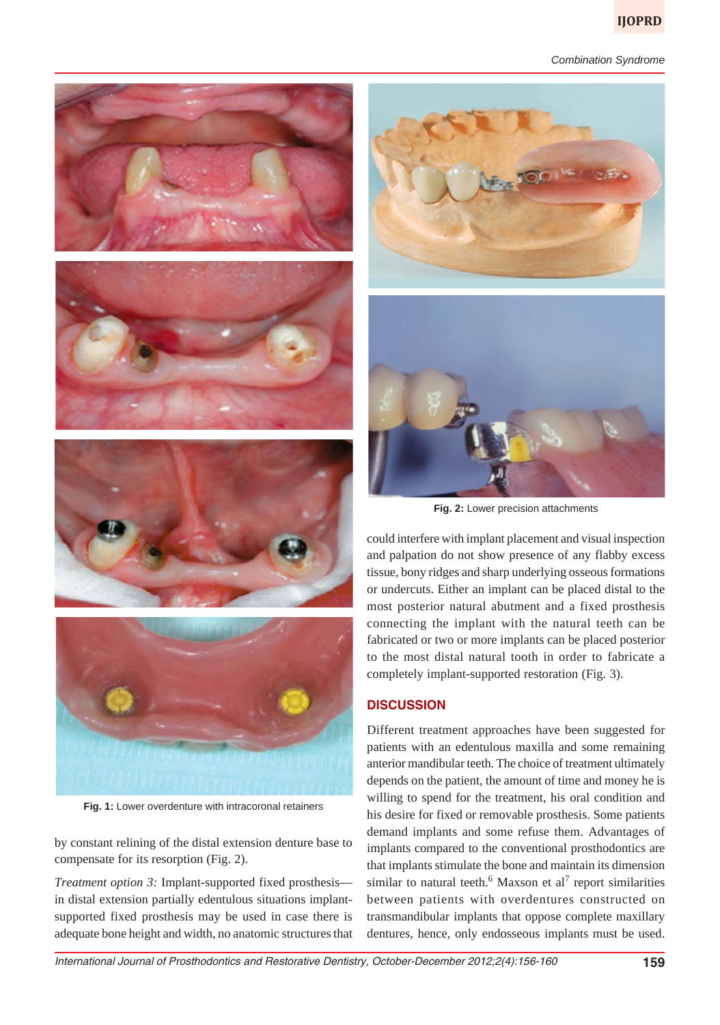#### *Combination Syndrome*



**Fig. 1:** Lower overdenture with intracoronal retainers

by constant relining of the distal extension denture base to compensate for its resorption (Fig. 2).

*Treatment option 3:* Implant-supported fixed prosthesis in distal extension partially edentulous situations implantsupported fixed prosthesis may be used in case there is adequate bone height and width, no anatomic structures that



**Fig. 2:** Lower precision attachments

could interfere with implant placement and visual inspection and palpation do not show presence of any flabby excess tissue, bony ridges and sharp underlying osseous formations or undercuts. Either an implant can be placed distal to the most posterior natural abutment and a fixed prosthesis connecting the implant with the natural teeth can be fabricated or two or more implants can be placed posterior to the most distal natural tooth in order to fabricate a completely implant-supported restoration (Fig. 3).

# **DISCUSSION**

Different treatment approaches have been suggested for patients with an edentulous maxilla and some remaining anterior mandibular teeth. The choice of treatment ultimately depends on the patient, the amount of time and money he is willing to spend for the treatment, his oral condition and his desire for fixed or removable prosthesis. Some patients demand implants and some refuse them. Advantages of implants compared to the conventional prosthodontics are that implants stimulate the bone and maintain its dimension similar to natural teeth.<sup>6</sup> Maxson et al<sup>7</sup> report similarities between patients with overdentures constructed on transmandibular implants that oppose complete maxillary dentures, hence, only endosseous implants must be used.